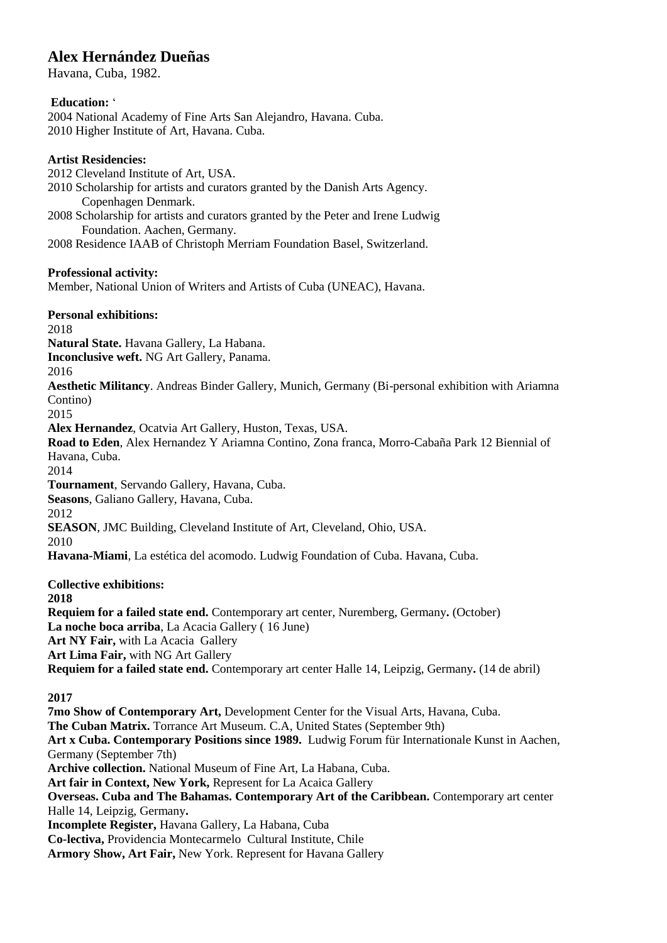# **Alex Hernández Dueñas**

Havana, Cuba, 1982.

#### **Education:** '

2004 National Academy of Fine Arts San Alejandro, Havana. Cuba. 2010 Higher Institute of Art, Havana. Cuba.

#### **Artist Residencies:**

2012 Cleveland Institute of Art, USA.

2010 Scholarship for artists and curators granted by the Danish Arts Agency. Copenhagen Denmark.

2008 Scholarship for artists and curators granted by the Peter and Irene Ludwig Foundation. Aachen, Germany.

2008 Residence IAAB of Christoph Merriam Foundation Basel, Switzerland.

#### **Professional activity:**

Member, National Union of Writers and Artists of Cuba (UNEAC), Havana.

## **Personal exhibitions:**

2018

**Natural State.** Havana Gallery, La Habana.

**Inconclusive weft.** NG Art Gallery, Panama.

2016

**Aesthetic Militancy**. Andreas Binder Gallery, Munich, Germany (Bi-personal exhibition with Ariamna Contino)

2015

**Alex Hernandez**, Ocatvia Art Gallery, Huston, Texas, USA.

**Road to Eden**, Alex Hernandez Y Ariamna Contino, Zona franca, Morro-Cabaña Park 12 Biennial of Havana, Cuba.

2014

**Tournament**, Servando Gallery, Havana, Cuba.

**Seasons**, Galiano Gallery, Havana, Cuba.

2012

**SEASON**, JMC Building, Cleveland Institute of Art, Cleveland, Ohio, USA.

2010

**Havana-Miami**, La estética del acomodo. Ludwig Foundation of Cuba. Havana, Cuba.

**Collective exhibitions:**

**2018**

**Requiem for a failed state end.** Contemporary art center, Nuremberg, Germany**.** (October) **La noche boca arriba**, La Acacia Gallery ( 16 June) **Art NY Fair,** with La Acacia Gallery **Art Lima Fair,** with NG Art Gallery **Requiem for a failed state end.** Contemporary art center Halle 14, Leipzig, Germany**.** (14 de abril)

#### **2017**

**7mo Show of Contemporary Art,** Development Center for the Visual Arts, Havana, Cuba. **The Cuban Matrix.** Torrance Art Museum. C.A, United States (September 9th) **Art x Cuba. Contemporary Positions since 1989.** Ludwig Forum für Internationale Kunst in Aachen, Germany (September 7th) **Archive collection.** National Museum of Fine Art, La Habana, Cuba. **Art fair in Context, New York,** Represent for La Acaica Gallery **Overseas. Cuba and The Bahamas. Contemporary Art of the Caribbean.** Contemporary art center Halle 14, Leipzig, Germany**. Incomplete Register,** Havana Gallery, La Habana, Cuba **Co-lectiva,** Providencia Montecarmelo Cultural Institute, Chile **Armory Show, Art Fair,** New York. Represent for Havana Gallery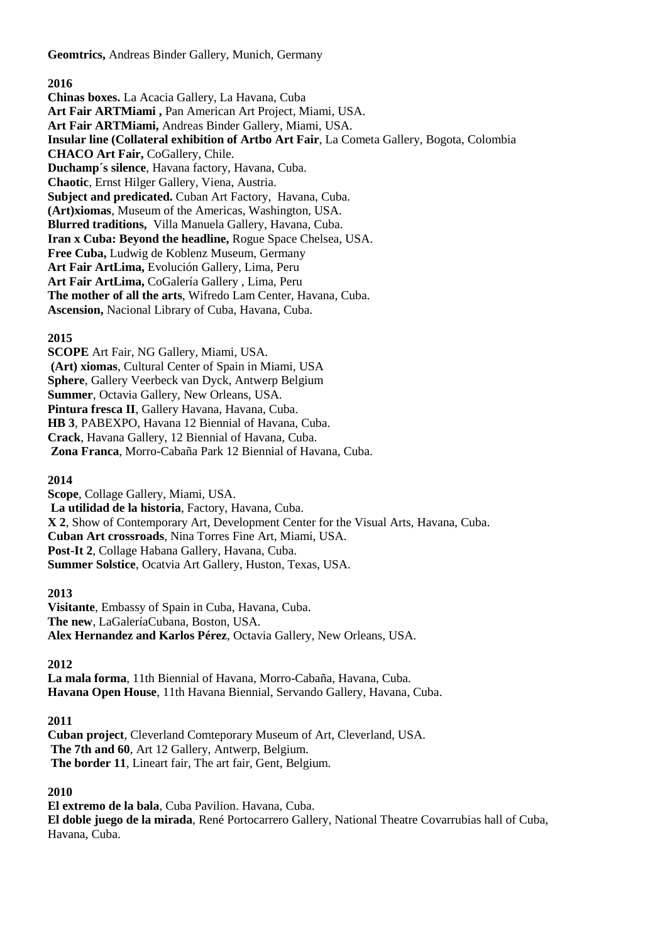**Geomtrics,** Andreas Binder Gallery, Munich, Germany

#### **2016**

**Chinas boxes.** La Acacia Gallery, La Havana, Cuba **Art Fair ARTMiami ,** Pan American Art Project, Miami, USA. **Art Fair ARTMiami,** Andreas Binder Gallery, Miami, USA. **Insular line (Collateral exhibition of Artbo Art Fair**, La Cometa Gallery, Bogota, Colombia **CHACO Art Fair,** CoGallery, Chile. **Duchamp´s silence**, Havana factory, Havana, Cuba. **Chaotic**, Ernst Hilger Gallery, Viena, Austria. **Subject and predicated.** Cuban Art Factory,Havana, Cuba. **(Art)xiomas**, Museum of the Americas, Washington, USA. **Blurred traditions,** Villa Manuela Gallery, Havana, Cuba. **Iran x Cuba: Beyond the headline,** Rogue Space Chelsea, USA. **Free Cuba,** Ludwig de Koblenz Museum, Germany **Art Fair ArtLima,** Evolución Gallery, Lima, Peru **Art Fair ArtLima,** CoGalería Gallery , Lima, Peru **The mother of all the arts**, Wifredo Lam Center, Havana, Cuba. **Ascension,** Nacional Library of Cuba, Havana, Cuba.

#### **2015**

**SCOPE** Art Fair, NG Gallery, Miami, USA. **(Art) xiomas**, Cultural Center of Spain in Miami, USA **Sphere**, Gallery Veerbeck van Dyck, Antwerp Belgium **Summer**, Octavia Gallery, New Orleans, USA. **Pintura fresca II**, Gallery Havana, Havana, Cuba. **HB 3**, PABEXPO, Havana 12 Biennial of Havana, Cuba. **Crack**, Havana Gallery, 12 Biennial of Havana, Cuba. **Zona Franca**, Morro-Cabaña Park 12 Biennial of Havana, Cuba.

#### **2014**

**Scope**, Collage Gallery, Miami, USA. **La utilidad de la historia**, Factory, Havana, Cuba. **X 2**, Show of Contemporary Art, Development Center for the Visual Arts, Havana, Cuba. **Cuban Art crossroads**, Nina Torres Fine Art, Miami, USA. **Post-It 2**, Collage Habana Gallery, Havana, Cuba. **Summer Solstice**, Ocatvia Art Gallery, Huston, Texas, USA.

#### **2013**

**Visitante**, Embassy of Spain in Cuba, Havana, Cuba. **The new**, LaGaleríaCubana, Boston, USA. **Alex Hernandez and Karlos Pérez**, Octavia Gallery, New Orleans, USA.

**2012**

**La mala forma**, 11th Biennial of Havana, Morro-Cabaña, Havana, Cuba. **Havana Open House**, 11th Havana Biennial, Servando Gallery, Havana, Cuba.

**2011**

**Cuban project**, Cleverland Comteporary Museum of Art, Cleverland, USA. **The 7th and 60**, Art 12 Gallery, Antwerp, Belgium. **The border 11**, Lineart fair, The art fair, Gent, Belgium.

**2010**

**El extremo de la bala**, Cuba Pavilion. Havana, Cuba. **El doble juego de la mirada**, René Portocarrero Gallery, National Theatre Covarrubias hall of Cuba, Havana, Cuba.